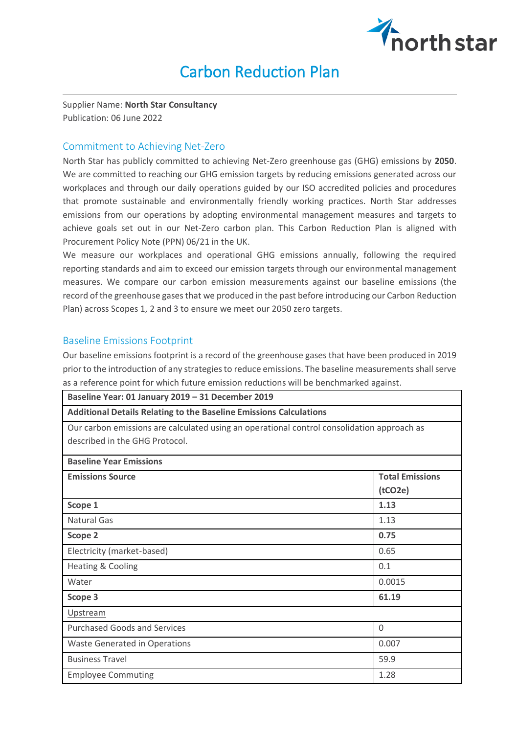

# Carbon Reduction Plan

Supplier Name: **North Star Consultancy**  Publication: 06 June 2022

### Commitment to Achieving Net-Zero

North Star has publicly committed to achieving Net-Zero greenhouse gas (GHG) emissions by **2050**. We are committed to reaching our GHG emission targets by reducing emissions generated across our workplaces and through our daily operations guided by our ISO accredited policies and procedures that promote sustainable and environmentally friendly working practices. North Star addresses emissions from our operations by adopting environmental management measures and targets to achieve goals set out in our Net-Zero carbon plan. This Carbon Reduction Plan is aligned with Procurement Policy Note (PPN) 06/21 in the UK.

We measure our workplaces and operational GHG emissions annually, following the required reporting standards and aim to exceed our emission targets through our environmental management measures. We compare our carbon emission measurements against our baseline emissions (the record of the greenhouse gasesthat we produced in the past before introducing our Carbon Reduction Plan) across Scopes 1, 2 and 3 to ensure we meet our 2050 zero targets.

#### Baseline Emissions Footprint

Our baseline emissions footprint is a record of the greenhouse gases that have been produced in 2019 prior to the introduction of any strategies to reduce emissions. The baseline measurements shall serve as a reference point for which future emission reductions will be benchmarked against.

| Baseline Year: 01 January 2019 - 31 December 2019                                                                                                                                                         |                                   |  |
|-----------------------------------------------------------------------------------------------------------------------------------------------------------------------------------------------------------|-----------------------------------|--|
| <b>Additional Details Relating to the Baseline Emissions Calculations</b><br>Our carbon emissions are calculated using an operational control consolidation approach as<br>described in the GHG Protocol. |                                   |  |
|                                                                                                                                                                                                           |                                   |  |
| <b>Emissions Source</b>                                                                                                                                                                                   | <b>Total Emissions</b><br>(tCO2e) |  |
| Scope 1                                                                                                                                                                                                   | 1.13                              |  |
| <b>Natural Gas</b>                                                                                                                                                                                        | 1.13                              |  |
| Scope 2                                                                                                                                                                                                   | 0.75                              |  |
| Electricity (market-based)                                                                                                                                                                                | 0.65                              |  |
| <b>Heating &amp; Cooling</b>                                                                                                                                                                              | 0.1                               |  |
| Water                                                                                                                                                                                                     | 0.0015                            |  |
| Scope 3                                                                                                                                                                                                   | 61.19                             |  |
| Upstream                                                                                                                                                                                                  |                                   |  |
| <b>Purchased Goods and Services</b>                                                                                                                                                                       | $\overline{0}$                    |  |
| <b>Waste Generated in Operations</b>                                                                                                                                                                      | 0.007                             |  |
| <b>Business Travel</b>                                                                                                                                                                                    | 59.9                              |  |
| <b>Employee Commuting</b>                                                                                                                                                                                 | 1.28                              |  |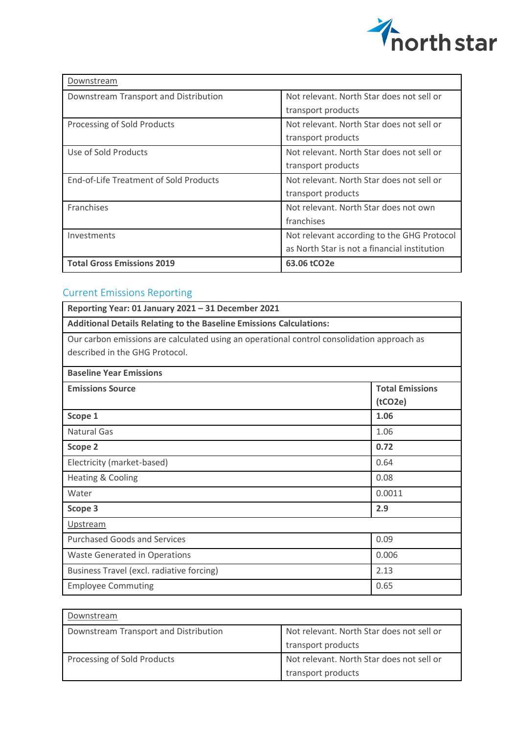

| Downstream                                    |                                              |
|-----------------------------------------------|----------------------------------------------|
| Downstream Transport and Distribution         | Not relevant. North Star does not sell or    |
|                                               | transport products                           |
| Processing of Sold Products                   | Not relevant. North Star does not sell or    |
|                                               | transport products                           |
| Use of Sold Products                          | Not relevant. North Star does not sell or    |
|                                               | transport products                           |
| <b>End-of-Life Treatment of Sold Products</b> | Not relevant. North Star does not sell or    |
|                                               | transport products                           |
| <b>Franchises</b>                             | Not relevant. North Star does not own        |
|                                               | franchises                                   |
| Investments                                   | Not relevant according to the GHG Protocol   |
|                                               | as North Star is not a financial institution |
| <b>Total Gross Emissions 2019</b>             | 63.06 tCO2e                                  |

# Current Emissions Reporting

| Reporting Year: 01 January 2021 - 31 December 2021                                                                           |                                   |  |
|------------------------------------------------------------------------------------------------------------------------------|-----------------------------------|--|
| <b>Additional Details Relating to the Baseline Emissions Calculations:</b>                                                   |                                   |  |
| Our carbon emissions are calculated using an operational control consolidation approach as<br>described in the GHG Protocol. |                                   |  |
| <b>Baseline Year Emissions</b>                                                                                               |                                   |  |
| <b>Emissions Source</b>                                                                                                      | <b>Total Emissions</b><br>(tCO2e) |  |
| Scope 1                                                                                                                      | 1.06                              |  |
| <b>Natural Gas</b>                                                                                                           | 1.06                              |  |
| Scope 2                                                                                                                      | 0.72                              |  |
| Electricity (market-based)                                                                                                   | 0.64                              |  |
| Heating & Cooling                                                                                                            | 0.08                              |  |
| Water                                                                                                                        | 0.0011                            |  |
| Scope 3                                                                                                                      | 2.9                               |  |
| Upstream                                                                                                                     |                                   |  |
| <b>Purchased Goods and Services</b>                                                                                          | 0.09                              |  |
| <b>Waste Generated in Operations</b>                                                                                         | 0.006                             |  |
| Business Travel (excl. radiative forcing)                                                                                    | 2.13                              |  |
| <b>Employee Commuting</b>                                                                                                    | 0.65                              |  |

| Downstream                            |                                           |
|---------------------------------------|-------------------------------------------|
| Downstream Transport and Distribution | Not relevant. North Star does not sell or |
|                                       | transport products                        |
| Processing of Sold Products           | Not relevant. North Star does not sell or |
|                                       | transport products                        |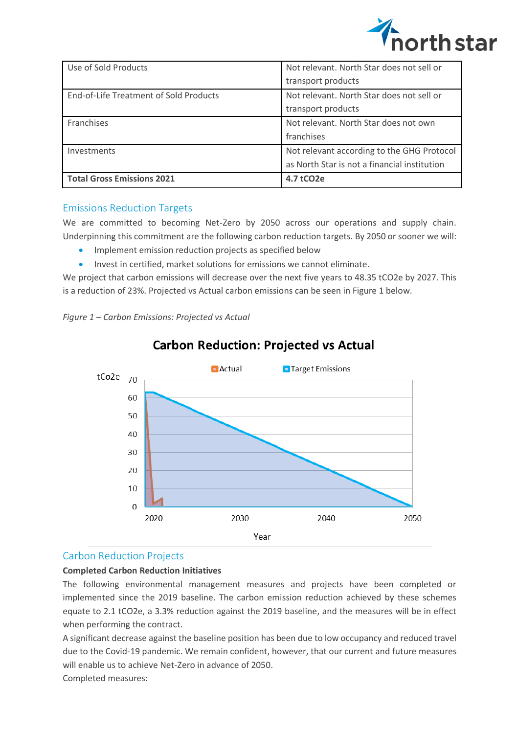

| Use of Sold Products                   | Not relevant. North Star does not sell or    |
|----------------------------------------|----------------------------------------------|
|                                        | transport products                           |
| End-of-Life Treatment of Sold Products | Not relevant. North Star does not sell or    |
|                                        | transport products                           |
| <b>Franchises</b>                      | Not relevant. North Star does not own        |
|                                        | franchises                                   |
| Investments                            | Not relevant according to the GHG Protocol   |
|                                        | as North Star is not a financial institution |
| <b>Total Gross Emissions 2021</b>      | 4.7 tCO <sub>2</sub> e                       |

## Emissions Reduction Targets

We are committed to becoming Net-Zero by 2050 across our operations and supply chain. Underpinning this commitment are the following carbon reduction targets. By 2050 or sooner we will:

- Implement emission reduction projects as specified below
- Invest in certified, market solutions for emissions we cannot eliminate.

We project that carbon emissions will decrease over the next five years to 48.35 tCO2e by 2027. This is a reduction of 23%. Projected vs Actual carbon emissions can be seen in Figure 1 below.

*Figure 1 – Carbon Emissions: Projected vs Actual*



# **Carbon Reduction: Projected vs Actual**

#### Carbon Reduction Projects

#### **Completed Carbon Reduction Initiatives**

The following environmental management measures and projects have been completed or implemented since the 2019 baseline. The carbon emission reduction achieved by these schemes equate to 2.1 tCO2e, a 3.3% reduction against the 2019 baseline, and the measures will be in effect when performing the contract.

A significant decrease against the baseline position has been due to low occupancy and reduced travel due to the Covid-19 pandemic. We remain confident, however, that our current and future measures will enable us to achieve Net-Zero in advance of 2050.

Completed measures: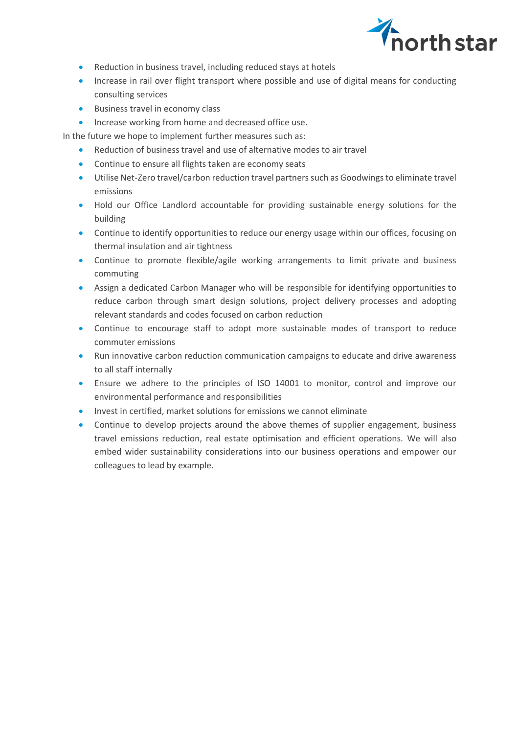

- Reduction in business travel, including reduced stays at hotels
- Increase in rail over flight transport where possible and use of digital means for conducting consulting services
- Business travel in economy class
- Increase working from home and decreased office use.

In the future we hope to implement further measures such as:

- Reduction of business travel and use of alternative modes to air travel
- Continue to ensure all flights taken are economy seats
- Utilise Net-Zero travel/carbon reduction travel partners such as Goodwings to eliminate travel emissions
- Hold our Office Landlord accountable for providing sustainable energy solutions for the building
- Continue to identify opportunities to reduce our energy usage within our offices, focusing on thermal insulation and air tightness
- Continue to promote flexible/agile working arrangements to limit private and business commuting
- Assign a dedicated Carbon Manager who will be responsible for identifying opportunities to reduce carbon through smart design solutions, project delivery processes and adopting relevant standards and codes focused on carbon reduction
- Continue to encourage staff to adopt more sustainable modes of transport to reduce commuter emissions
- Run innovative carbon reduction communication campaigns to educate and drive awareness to all staff internally
- Ensure we adhere to the principles of ISO 14001 to monitor, control and improve our environmental performance and responsibilities
- Invest in certified, market solutions for emissions we cannot eliminate
- Continue to develop projects around the above themes of supplier engagement, business travel emissions reduction, real estate optimisation and efficient operations. We will also embed wider sustainability considerations into our business operations and empower our colleagues to lead by example.